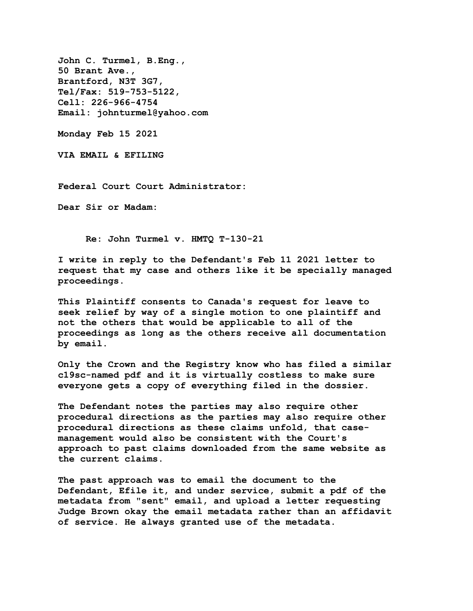**John C. Turmel, B.Eng., 50 Brant Ave., Brantford, N3T 3G7, Tel/Fax: 519-753-5122, Cell: 226-966-4754 Email: johnturmel@yahoo.com**

**Monday Feb 15 2021** 

**VIA EMAIL & EFILING** 

**Federal Court Court Administrator:** 

**Dear Sir or Madam:** 

**Re: John Turmel v. HMTQ T-130-21** 

**I write in reply to the Defendant's Feb 11 2021 letter to request that my case and others like it be specially managed proceedings.**

**This Plaintiff consents to Canada's request for leave to seek relief by way of a single motion to one plaintiff and not the others that would be applicable to all of the proceedings as long as the others receive all documentation by email.** 

**Only the Crown and the Registry know who has filed a similar c19sc-named pdf and it is virtually costless to make sure everyone gets a copy of everything filed in the dossier.** 

**The Defendant notes the parties may also require other procedural directions as the parties may also require other procedural directions as these claims unfold, that casemanagement would also be consistent with the Court's approach to past claims downloaded from the same website as the current claims.** 

**The past approach was to email the document to the Defendant, Efile it, and under service, submit a pdf of the metadata from "sent" email, and upload a letter requesting Judge Brown okay the email metadata rather than an affidavit of service. He always granted use of the metadata.**